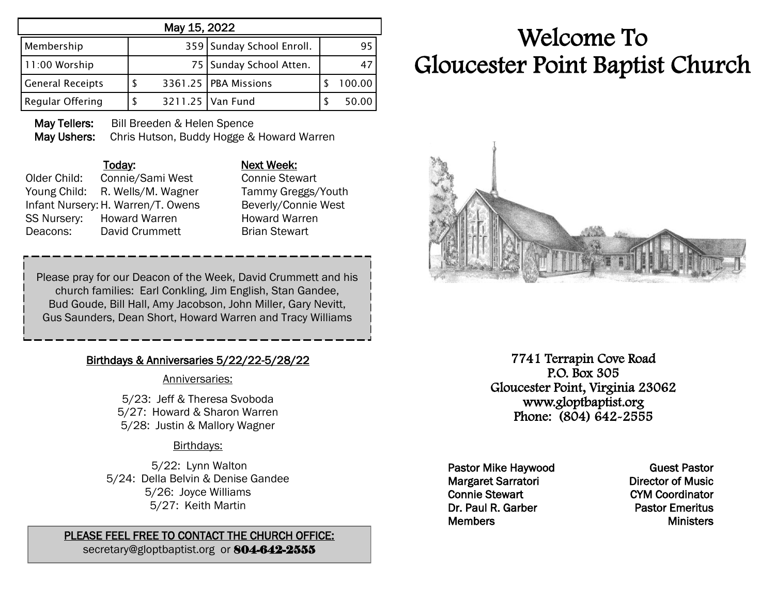|                         | May 15, 2022 |                           |        |
|-------------------------|--------------|---------------------------|--------|
| Membership              |              | 359 Sunday School Enroll. | 95     |
| 11:00 Worship           |              | 75   Sunday School Atten. | 47     |
| <b>General Receipts</b> |              | 3361.25   PBA Missions    | 100.00 |
| Regular Offering        |              | 3211.25   Van Fund        | 50.00  |

May Tellers: Bill Breeden & Helen Spence May Ushers: Chris Hutson, Buddy Hogge & Howard Warren

#### Today: Next Week:

Older Child: Connie/Sami West Connie Stewart Young Child: R. Wells/M. Wagner Tammy Greggs/Youth Infant Nursery: H. Warren/T. Owens Beverly/Connie West SS Nursery: Howard Warren **Howard Warren** Deacons: David Crummett Brian Stewart

Please pray for our Deacon of the Week, David Crummett and his church families: Earl Conkling, Jim English, Stan Gandee, Bud Goude, Bill Hall, Amy Jacobson, John Miller, Gary Nevitt, Gus Saunders, Dean Short, Howard Warren and Tracy Williams

## Birthdays & Anniversaries 5/22/22-5/28/22

#### Anniversaries:

5/23: Jeff & Theresa Svoboda 5/27: Howard & Sharon Warren 5/28: Justin & Mallory Wagner

## Birthdays:

5/22: Lynn Walton 5/24: Della Belvin & Denise Gandee 5/26: Joyce Williams 5/27: Keith Martin

# PLEASE FEEL FREE TO CONTACT THE CHURCH OFFICE:

secretary@gloptbaptist.org or 804-642-2555

# Welcome To Gloucester Point Baptist Church



7741 Terrapin Cove Road P.O. Box 305 Gloucester Point, Virginia 23062 www.gloptbaptist.org Phone: (804) 642-2555

Pastor Mike Haywood Margaret Sarratori Connie Stewart Dr. Paul R. Garber **Members** 

Guest Pastor Director of Music CYM Coordinator Pastor Emeritus **Ministers**